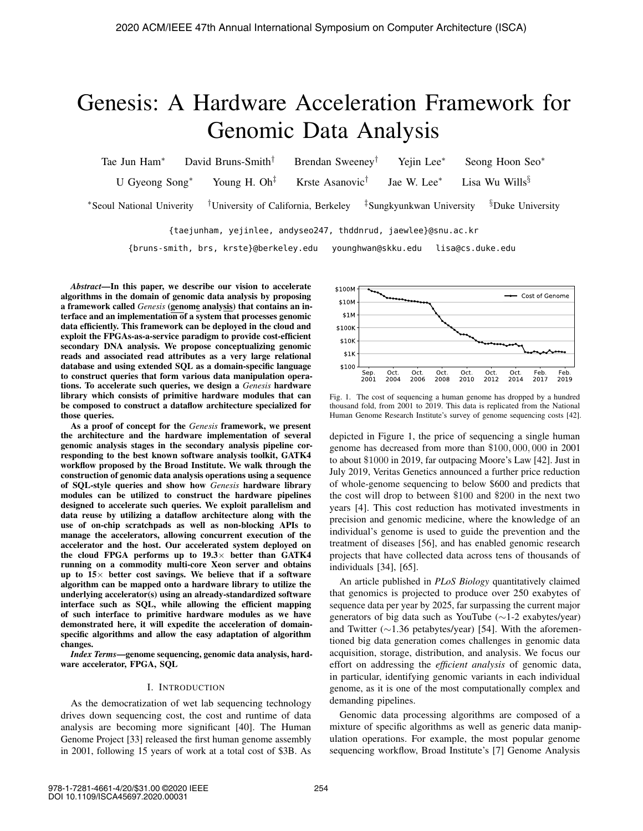# Genesis: A Hardware Acceleration Framework for Genomic Data Analysis

Tae Jun Ham∗ David Bruns-Smith† Brendan Sweeney† Yejin Lee∗ Seong Hoon Seo∗ U Gyeong Song<sup>∗</sup> Young H. Oh<sup>‡</sup> Krste Asanovic<sup>†</sup> Jae W. Lee<sup>∗</sup> Lisa Wu Wills<sup>§</sup> ∗Seoul National Univerity †University of California, Berkeley ‡Sungkyunkwan University §Duke University

{taejunham, yejinlee, andyseo247, thddnrud, jaewlee}@snu.ac.kr

{bruns-smith, brs, krste}@berkeley.edu younghwan@skku.edu lisa@cs.duke.edu

*Abstract*—In this paper, we describe our vision to accelerate algorithms in the domain of genomic data analysis by proposing a framework called *Genesis* (genome analysis) that contains an interface and an implementation of a system that processes genomic data efficiently. This framework can be deployed in the cloud and exploit the FPGAs-as-a-service paradigm to provide cost-efficient secondary DNA analysis. We propose conceptualizing genomic reads and associated read attributes as a very large relational database and using extended SQL as a domain-specific language to construct queries that form various data manipulation operations. To accelerate such queries, we design a *Genesis* hardware library which consists of primitive hardware modules that can be composed to construct a dataflow architecture specialized for those queries.

As a proof of concept for the *Genesis* framework, we present the architecture and the hardware implementation of several genomic analysis stages in the secondary analysis pipeline corresponding to the best known software analysis toolkit, GATK4 workflow proposed by the Broad Institute. We walk through the construction of genomic data analysis operations using a sequence of SQL-style queries and show how *Genesis* hardware library modules can be utilized to construct the hardware pipelines designed to accelerate such queries. We exploit parallelism and data reuse by utilizing a dataflow architecture along with the use of on-chip scratchpads as well as non-blocking APIs to manage the accelerators, allowing concurrent execution of the accelerator and the host. Our accelerated system deployed on the cloud FPGA performs up to  $19.3\times$  better than GATK4 running on a commodity multi-core Xeon server and obtains up to  $15\times$  better cost savings. We believe that if a software algorithm can be mapped onto a hardware library to utilize the underlying accelerator(s) using an already-standardized software interface such as SQL, while allowing the efficient mapping of such interface to primitive hardware modules as we have demonstrated here, it will expedite the acceleration of domainspecific algorithms and allow the easy adaptation of algorithm changes.

*Index Terms*—genome sequencing, genomic data analysis, hardware accelerator, FPGA, SQL

## I. INTRODUCTION

As the democratization of wet lab sequencing technology drives down sequencing cost, the cost and runtime of data analysis are becoming more significant [40]. The Human Genome Project [33] released the first human genome assembly in 2001, following 15 years of work at a total cost of \$3B. As



Fig. 1. The cost of sequencing a human genome has dropped by a hundred thousand fold, from 2001 to 2019. This data is replicated from the National Human Genome Research Institute's survey of genome sequencing costs [42].

depicted in Figure 1, the price of sequencing a single human genome has decreased from more than \$100, 000, 000 in 2001 to about \$1000 in 2019, far outpacing Moore's Law [42]. Just in July 2019, Veritas Genetics announced a further price reduction of whole-genome sequencing to below \$600 and predicts that the cost will drop to between \$100 and \$200 in the next two years [4]. This cost reduction has motivated investments in precision and genomic medicine, where the knowledge of an individual's genome is used to guide the prevention and the treatment of diseases [56], and has enabled genomic research projects that have collected data across tens of thousands of individuals [34], [65].

An article published in *PLoS Biology* quantitatively claimed that genomics is projected to produce over 250 exabytes of sequence data per year by 2025, far surpassing the current major generators of big data such as YouTube (∼1-2 exabytes/year) and Twitter (∼1.36 petabytes/year) [54]. With the aforementioned big data generation comes challenges in genomic data acquisition, storage, distribution, and analysis. We focus our effort on addressing the *efficient analysis* of genomic data, in particular, identifying genomic variants in each individual genome, as it is one of the most computationally complex and demanding pipelines.

Genomic data processing algorithms are composed of a mixture of specific algorithms as well as generic data manipulation operations. For example, the most popular genome sequencing workflow, Broad Institute's [7] Genome Analysis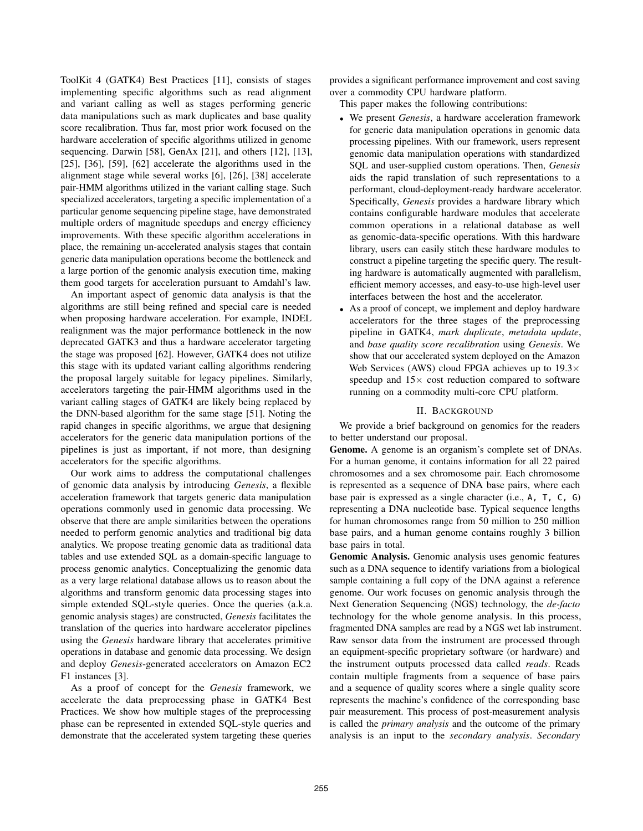ToolKit 4 (GATK4) Best Practices [11], consists of stages implementing specific algorithms such as read alignment and variant calling as well as stages performing generic data manipulations such as mark duplicates and base quality score recalibration. Thus far, most prior work focused on the hardware acceleration of specific algorithms utilized in genome sequencing. Darwin [58], GenAx [21], and others [12], [13], [25], [36], [59], [62] accelerate the algorithms used in the alignment stage while several works [6], [26], [38] accelerate pair-HMM algorithms utilized in the variant calling stage. Such specialized accelerators, targeting a specific implementation of a particular genome sequencing pipeline stage, have demonstrated multiple orders of magnitude speedups and energy efficiency improvements. With these specific algorithm accelerations in place, the remaining un-accelerated analysis stages that contain generic data manipulation operations become the bottleneck and a large portion of the genomic analysis execution time, making them good targets for acceleration pursuant to Amdahl's law.

An important aspect of genomic data analysis is that the algorithms are still being refined and special care is needed when proposing hardware acceleration. For example, INDEL realignment was the major performance bottleneck in the now deprecated GATK3 and thus a hardware accelerator targeting the stage was proposed [62]. However, GATK4 does not utilize this stage with its updated variant calling algorithms rendering the proposal largely suitable for legacy pipelines. Similarly, accelerators targeting the pair-HMM algorithms used in the variant calling stages of GATK4 are likely being replaced by the DNN-based algorithm for the same stage [51]. Noting the rapid changes in specific algorithms, we argue that designing accelerators for the generic data manipulation portions of the pipelines is just as important, if not more, than designing accelerators for the specific algorithms.

Our work aims to address the computational challenges of genomic data analysis by introducing *Genesis*, a flexible acceleration framework that targets generic data manipulation operations commonly used in genomic data processing. We observe that there are ample similarities between the operations needed to perform genomic analytics and traditional big data analytics. We propose treating genomic data as traditional data tables and use extended SQL as a domain-specific language to process genomic analytics. Conceptualizing the genomic data as a very large relational database allows us to reason about the algorithms and transform genomic data processing stages into simple extended SQL-style queries. Once the queries (a.k.a. genomic analysis stages) are constructed, *Genesis* facilitates the translation of the queries into hardware accelerator pipelines using the *Genesis* hardware library that accelerates primitive operations in database and genomic data processing. We design and deploy *Genesis*-generated accelerators on Amazon EC2 F1 instances [3].

As a proof of concept for the *Genesis* framework, we accelerate the data preprocessing phase in GATK4 Best Practices. We show how multiple stages of the preprocessing phase can be represented in extended SQL-style queries and demonstrate that the accelerated system targeting these queries

provides a significant performance improvement and cost saving over a commodity CPU hardware platform.

This paper makes the following contributions:

- We present *Genesis*, a hardware acceleration framework for generic data manipulation operations in genomic data processing pipelines. With our framework, users represent genomic data manipulation operations with standardized SQL and user-supplied custom operations. Then, *Genesis* aids the rapid translation of such representations to a performant, cloud-deployment-ready hardware accelerator. Specifically, *Genesis* provides a hardware library which contains configurable hardware modules that accelerate common operations in a relational database as well as genomic-data-specific operations. With this hardware library, users can easily stitch these hardware modules to construct a pipeline targeting the specific query. The resulting hardware is automatically augmented with parallelism, efficient memory accesses, and easy-to-use high-level user interfaces between the host and the accelerator.
- As a proof of concept, we implement and deploy hardware accelerators for the three stages of the preprocessing pipeline in GATK4, *mark duplicate*, *metadata update*, and *base quality score recalibration* using *Genesis*. We show that our accelerated system deployed on the Amazon Web Services (AWS) cloud FPGA achieves up to  $19.3\times$ speedup and  $15\times$  cost reduction compared to software running on a commodity multi-core CPU platform.

# II. BACKGROUND

We provide a brief background on genomics for the readers to better understand our proposal.

Genome. A genome is an organism's complete set of DNAs. For a human genome, it contains information for all 22 paired chromosomes and a sex chromosome pair. Each chromosome is represented as a sequence of DNA base pairs, where each base pair is expressed as a single character (i.e., A, T, C, G) representing a DNA nucleotide base. Typical sequence lengths for human chromosomes range from 50 million to 250 million base pairs, and a human genome contains roughly 3 billion base pairs in total.

Genomic Analysis. Genomic analysis uses genomic features such as a DNA sequence to identify variations from a biological sample containing a full copy of the DNA against a reference genome. Our work focuses on genomic analysis through the Next Generation Sequencing (NGS) technology, the *de-facto* technology for the whole genome analysis. In this process, fragmented DNA samples are read by a NGS wet lab instrument. Raw sensor data from the instrument are processed through an equipment-specific proprietary software (or hardware) and the instrument outputs processed data called *reads*. Reads contain multiple fragments from a sequence of base pairs and a sequence of quality scores where a single quality score represents the machine's confidence of the corresponding base pair measurement. This process of post-measurement analysis is called the *primary analysis* and the outcome of the primary analysis is an input to the *secondary analysis*. *Secondary*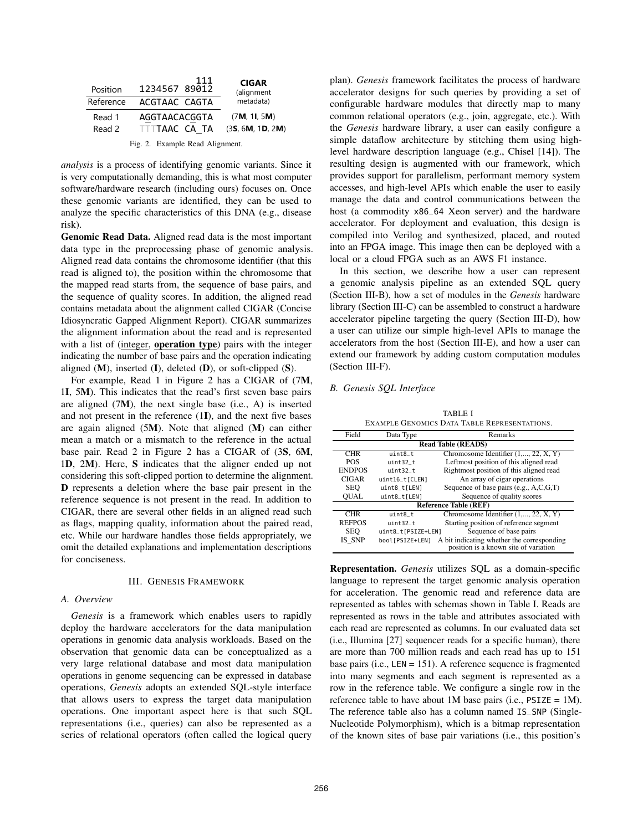| Position                        | 111<br>1234567 89012 | <b>CIGAR</b><br>(alignment |  |  |  |
|---------------------------------|----------------------|----------------------------|--|--|--|
| Reference                       | ACGTAAC CAGTA        | metadata)                  |  |  |  |
| Read 1                          | AGGTAACACGGTA        | (7M, 11, 5M)               |  |  |  |
| Read 2                          | TTTTAAC CA TA        | (35, 6M, 1D, 2M)           |  |  |  |
| Fig. 2. Example Read Alignment. |                      |                            |  |  |  |

*analysis* is a process of identifying genomic variants. Since it is very computationally demanding, this is what most computer software/hardware research (including ours) focuses on. Once these genomic variants are identified, they can be used to analyze the specific characteristics of this DNA (e.g., disease risk).

Genomic Read Data. Aligned read data is the most important data type in the preprocessing phase of genomic analysis. Aligned read data contains the chromosome identifier (that this read is aligned to), the position within the chromosome that the mapped read starts from, the sequence of base pairs, and the sequence of quality scores. In addition, the aligned read contains metadata about the alignment called CIGAR (Concise Idiosyncratic Gapped Alignment Report). CIGAR summarizes the alignment information about the read and is represented with a list of (integer, operation type) pairs with the integer indicating the number of base pairs and the operation indicating aligned  $(M)$ , inserted  $(I)$ , deleted  $(D)$ , or soft-clipped  $(S)$ .

For example, Read 1 in Figure 2 has a CIGAR of (7M, 1I, 5M). This indicates that the read's first seven base pairs are aligned (7M), the next single base (i.e., A) is inserted and not present in the reference (1I), and the next five bases are again aligned (5M). Note that aligned (M) can either mean a match or a mismatch to the reference in the actual base pair. Read 2 in Figure 2 has a CIGAR of (3S, 6M, 1D, 2M). Here, S indicates that the aligner ended up not considering this soft-clipped portion to determine the alignment. D represents a deletion where the base pair present in the reference sequence is not present in the read. In addition to CIGAR, there are several other fields in an aligned read such as flags, mapping quality, information about the paired read, etc. While our hardware handles those fields appropriately, we omit the detailed explanations and implementation descriptions for conciseness.

# III. GENESIS FRAMEWORK

## *A. Overview*

*Genesis* is a framework which enables users to rapidly deploy the hardware accelerators for the data manipulation operations in genomic data analysis workloads. Based on the observation that genomic data can be conceptualized as a very large relational database and most data manipulation operations in genome sequencing can be expressed in database operations, *Genesis* adopts an extended SQL-style interface that allows users to express the target data manipulation operations. One important aspect here is that such SQL representations (i.e., queries) can also be represented as a series of relational operators (often called the logical query plan). *Genesis* framework facilitates the process of hardware accelerator designs for such queries by providing a set of configurable hardware modules that directly map to many common relational operators (e.g., join, aggregate, etc.). With the *Genesis* hardware library, a user can easily configure a simple dataflow architecture by stitching them using highlevel hardware description language (e.g., Chisel [14]). The resulting design is augmented with our framework, which provides support for parallelism, performant memory system accesses, and high-level APIs which enable the user to easily manage the data and control communications between the host (a commodity x86\_64 Xeon server) and the hardware accelerator. For deployment and evaluation, this design is compiled into Verilog and synthesized, placed, and routed into an FPGA image. This image then can be deployed with a local or a cloud FPGA such as an AWS F1 instance.

In this section, we describe how a user can represent a genomic analysis pipeline as an extended SQL query (Section III-B), how a set of modules in the *Genesis* hardware library (Section III-C) can be assembled to construct a hardware accelerator pipeline targeting the query (Section III-D), how a user can utilize our simple high-level APIs to manage the accelerators from the host (Section III-E), and how a user can extend our framework by adding custom computation modules (Section III-F).

# *B. Genesis SQL Interface*

TABLE I EXAMPLE GENOMICS DATA TABLE REPRESENTATIONS.

| LAANI LE MENDININA LAHA TADI E INTERNETATIVIST. |                              |                                                                                     |  |  |  |  |
|-------------------------------------------------|------------------------------|-------------------------------------------------------------------------------------|--|--|--|--|
| Field                                           | Data Type                    | Remarks                                                                             |  |  |  |  |
|                                                 | <b>Read Table (READS)</b>    |                                                                                     |  |  |  |  |
| <b>CHR</b>                                      | uint8_t                      | Chromosome Identifier $(1, \ldots, 22, X, Y)$                                       |  |  |  |  |
| <b>POS</b>                                      | $uint32_t$                   | Leftmost position of this aligned read                                              |  |  |  |  |
| <b>ENDPOS</b>                                   | uint32_t                     | Rightmost position of this aligned read                                             |  |  |  |  |
| <b>CIGAR</b>                                    | uint16_t[CLEN]               | An array of cigar operations                                                        |  |  |  |  |
| <b>SEO</b>                                      | uint8_t[LEN]                 | Sequence of base pairs $(e.g., A, C, G, T)$                                         |  |  |  |  |
| <b>OUAL</b>                                     | uint8_t[LEN]                 | Sequence of quality scores                                                          |  |  |  |  |
|                                                 | <b>Reference Table (REF)</b> |                                                                                     |  |  |  |  |
| <b>CHR</b>                                      | $uint8_t$                    | Chromosome Identifier $(1, \ldots, 22, X, Y)$                                       |  |  |  |  |
| <b>REFPOS</b>                                   | uint32_t                     | Starting position of reference segment                                              |  |  |  |  |
| <b>SEO</b>                                      | uint8_t[PSIZE+LEN]           | Sequence of base pairs                                                              |  |  |  |  |
| IS SNP                                          | bool[PSIZE+LEN]              | A bit indicating whether the corresponding<br>position is a known site of variation |  |  |  |  |

Representation. *Genesis* utilizes SQL as a domain-specific language to represent the target genomic analysis operation for acceleration. The genomic read and reference data are represented as tables with schemas shown in Table I. Reads are represented as rows in the table and attributes associated with each read are represented as columns. In our evaluated data set (i.e., Illumina [27] sequencer reads for a specific human), there are more than 700 million reads and each read has up to 151 base pairs (i.e., LEN = 151). A reference sequence is fragmented into many segments and each segment is represented as a row in the reference table. We configure a single row in the reference table to have about 1M base pairs (i.e.,  $PSIZE = 1M$ ). The reference table also has a column named IS\_SNP (Single-Nucleotide Polymorphism), which is a bitmap representation of the known sites of base pair variations (i.e., this position's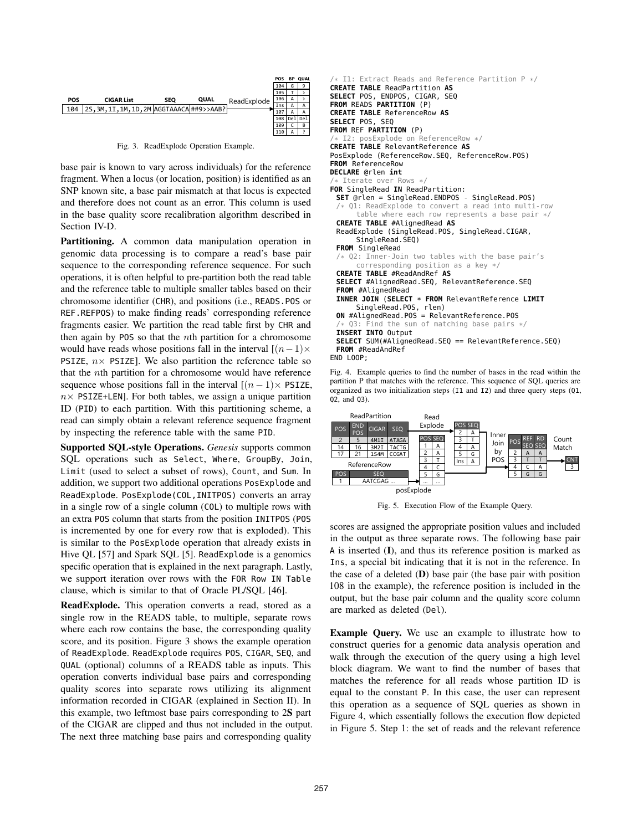

Fig. 3. ReadExplode Operation Example.

base pair is known to vary across individuals) for the reference fragment. When a locus (or location, position) is identified as an SNP known site, a base pair mismatch at that locus is expected and therefore does not count as an error. This column is used in the base quality score recalibration algorithm described in Section IV-D.

Partitioning. A common data manipulation operation in genomic data processing is to compare a read's base pair sequence to the corresponding reference sequence. For such operations, it is often helpful to pre-partition both the read table and the reference table to multiple smaller tables based on their chromosome identifier (CHR), and positions (i.e., READS.POS or REF.REFPOS) to make finding reads' corresponding reference fragments easier. We partition the read table first by CHR and then again by POS so that the *n*th partition for a chromosome would have reads whose positions fall in the interval  $[(n-1)\times$ PSIZE,  $n \times$  PSIZE]. We also partition the reference table so that the nth partition for a chromosome would have reference sequence whose positions fall in the interval  $[(n-1)\times$  PSIZE,  $n \times$  PSIZE+LEN]. For both tables, we assign a unique partition ID (PID) to each partition. With this partitioning scheme, a read can simply obtain a relevant reference sequence fragment by inspecting the reference table with the same PID.

Supported SQL-style Operations. *Genesis* supports common SQL operations such as Select, Where, GroupBy, Join, Limit (used to select a subset of rows), Count, and Sum. In addition, we support two additional operations PosExplode and ReadExplode. PosExplode(COL,INITPOS) converts an array in a single row of a single column (COL) to multiple rows with an extra POS column that starts from the position INITPOS (POS is incremented by one for every row that is exploded). This is similar to the PosExplode operation that already exists in Hive QL [57] and Spark SQL [5]. ReadExplode is a genomics specific operation that is explained in the next paragraph. Lastly, we support iteration over rows with the FOR Row IN Table clause, which is similar to that of Oracle PL/SQL [46].

ReadExplode. This operation converts a read, stored as a single row in the READS table, to multiple, separate rows where each row contains the base, the corresponding quality score, and its position. Figure 3 shows the example operation of ReadExplode. ReadExplode requires POS, CIGAR, SEQ, and QUAL (optional) columns of a READS table as inputs. This operation converts individual base pairs and corresponding quality scores into separate rows utilizing its alignment information recorded in CIGAR (explained in Section II). In this example, two leftmost base pairs corresponding to 2S part of the CIGAR are clipped and thus not included in the output. The next three matching base pairs and corresponding quality

```
/* I1: Extract Reads and Reference Partition P */
CREATE TABLE ReadPartition AS
SELECT POS, ENDPOS, CIGAR, SEQ
FROM READS PARTITION (P)
CREATE TABLE ReferenceRow AS
SELECT POS, SEQ
FROM REF PARTITION (P)
      posExplode on ReferenceRow */
CREATE TABLE RelevantReference AS
PosExplode (ReferenceRow.SEQ, ReferenceRow.POS)
FROM ReferenceRow
DECLARE @rlen int
 /* Iterate over Rows */
FOR SingleRead IN ReadPartition:
 SET @rlen = SingleRead.ENDPOS - SingleRead.POS)
 /* Q1: ReadExplode to convert a read into multi-row
      table where each row represents a base pair */
 CREATE TABLE #AlignedRead AS
 ReadExplode (SingleRead.POS, SingleRead.CIGAR,
      SingleRead.SEQ)
 FROM SingleRead
    02: Inner-Join two tables with the base pair's
      corresponding position as a key */
 CREATE TABLE #ReadAndRef AS
 SELECT #AlignedRead.SEQ, RelevantReference.SEQ
 FROM #AlignedRead
 INNER JOIN (SELECT * FROM RelevantReference LIMIT
      SingleRead.POS, rlen)
 ON #AlignedRead.POS = RelevantReference.POS
    Q3: Find the sum of matching base pairs */
 INSERT INTO Output
 SELECT SUM(#AlignedRead.SEQ == RelevantReference.SEQ)
 FROM #ReadAndRef
END LOOP;
```
Fig. 4. Example queries to find the number of bases in the read within the partition P that matches with the reference. This sequence of SQL queries are organized as two initialization steps (I1 and I2) and three query steps (Q1, Q2, and Q3).



Fig. 5. Execution Flow of the Example Query.

scores are assigned the appropriate position values and included in the output as three separate rows. The following base pair A is inserted (I), and thus its reference position is marked as Ins, a special bit indicating that it is not in the reference. In the case of a deleted  $(D)$  base pair (the base pair with position 108 in the example), the reference position is included in the output, but the base pair column and the quality score column are marked as deleted (Del).

Example Query. We use an example to illustrate how to construct queries for a genomic data analysis operation and walk through the execution of the query using a high level block diagram. We want to find the number of bases that matches the reference for all reads whose partition ID is equal to the constant P. In this case, the user can represent this operation as a sequence of SQL queries as shown in Figure 4, which essentially follows the execution flow depicted in Figure 5. Step 1: the set of reads and the relevant reference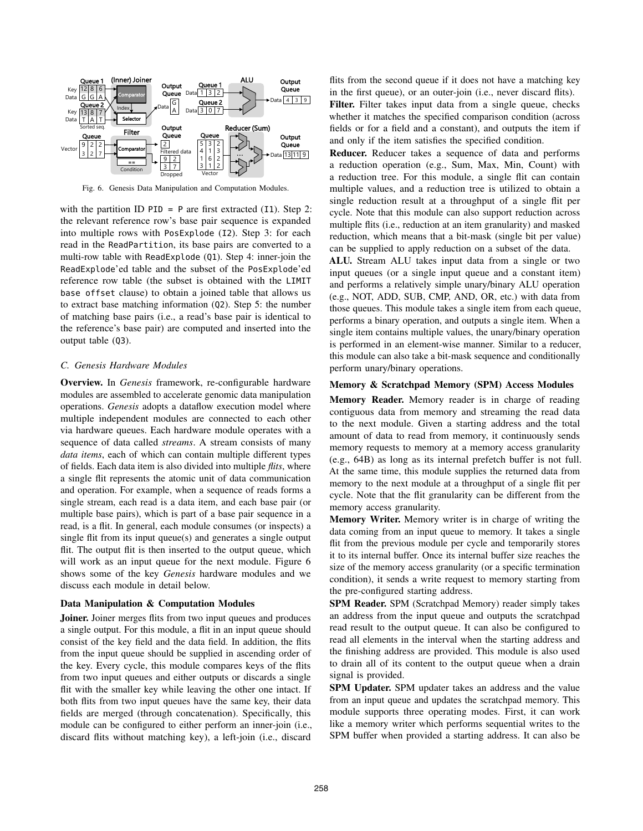

Fig. 6. Genesis Data Manipulation and Computation Modules.

with the partition ID  $PID = P$  are first extracted (I1). Step 2: the relevant reference row's base pair sequence is expanded into multiple rows with PosExplode (I2). Step 3: for each read in the ReadPartition, its base pairs are converted to a multi-row table with ReadExplode (Q1). Step 4: inner-join the ReadExplode'ed table and the subset of the PosExplode'ed reference row table (the subset is obtained with the LIMIT base offset clause) to obtain a joined table that allows us to extract base matching information (Q2). Step 5: the number of matching base pairs (i.e., a read's base pair is identical to the reference's base pair) are computed and inserted into the output table (Q3).

# *C. Genesis Hardware Modules*

Overview. In *Genesis* framework, re-configurable hardware modules are assembled to accelerate genomic data manipulation operations. *Genesis* adopts a dataflow execution model where multiple independent modules are connected to each other via hardware queues. Each hardware module operates with a sequence of data called *streams*. A stream consists of many *data items*, each of which can contain multiple different types of fields. Each data item is also divided into multiple *flits*, where a single flit represents the atomic unit of data communication and operation. For example, when a sequence of reads forms a single stream, each read is a data item, and each base pair (or multiple base pairs), which is part of a base pair sequence in a read, is a flit. In general, each module consumes (or inspects) a single flit from its input queue(s) and generates a single output flit. The output flit is then inserted to the output queue, which will work as an input queue for the next module. Figure 6 shows some of the key *Genesis* hardware modules and we discuss each module in detail below.

## Data Manipulation & Computation Modules

Joiner. Joiner merges flits from two input queues and produces a single output. For this module, a flit in an input queue should consist of the key field and the data field. In addition, the flits from the input queue should be supplied in ascending order of the key. Every cycle, this module compares keys of the flits from two input queues and either outputs or discards a single flit with the smaller key while leaving the other one intact. If both flits from two input queues have the same key, their data fields are merged (through concatenation). Specifically, this module can be configured to either perform an inner-join (i.e., discard flits without matching key), a left-join (i.e., discard flits from the second queue if it does not have a matching key in the first queue), or an outer-join (i.e., never discard flits).

Filter. Filter takes input data from a single queue, checks whether it matches the specified comparison condition (across fields or for a field and a constant), and outputs the item if and only if the item satisfies the specified condition.

Reducer. Reducer takes a sequence of data and performs a reduction operation (e.g., Sum, Max, Min, Count) with a reduction tree. For this module, a single flit can contain multiple values, and a reduction tree is utilized to obtain a single reduction result at a throughput of a single flit per cycle. Note that this module can also support reduction across multiple flits (i.e., reduction at an item granularity) and masked reduction, which means that a bit-mask (single bit per value) can be supplied to apply reduction on a subset of the data.

ALU. Stream ALU takes input data from a single or two input queues (or a single input queue and a constant item) and performs a relatively simple unary/binary ALU operation (e.g., NOT, ADD, SUB, CMP, AND, OR, etc.) with data from those queues. This module takes a single item from each queue, performs a binary operation, and outputs a single item. When a single item contains multiple values, the unary/binary operation is performed in an element-wise manner. Similar to a reducer, this module can also take a bit-mask sequence and conditionally perform unary/binary operations.

#### Memory & Scratchpad Memory (SPM) Access Modules

Memory Reader. Memory reader is in charge of reading contiguous data from memory and streaming the read data to the next module. Given a starting address and the total amount of data to read from memory, it continuously sends memory requests to memory at a memory access granularity (e.g., 64B) as long as its internal prefetch buffer is not full. At the same time, this module supplies the returned data from memory to the next module at a throughput of a single flit per cycle. Note that the flit granularity can be different from the memory access granularity.

Memory Writer. Memory writer is in charge of writing the data coming from an input queue to memory. It takes a single flit from the previous module per cycle and temporarily stores it to its internal buffer. Once its internal buffer size reaches the size of the memory access granularity (or a specific termination condition), it sends a write request to memory starting from the pre-configured starting address.

SPM Reader. SPM (Scratchpad Memory) reader simply takes an address from the input queue and outputs the scratchpad read result to the output queue. It can also be configured to read all elements in the interval when the starting address and the finishing address are provided. This module is also used to drain all of its content to the output queue when a drain signal is provided.

SPM Updater. SPM updater takes an address and the value from an input queue and updates the scratchpad memory. This module supports three operating modes. First, it can work like a memory writer which performs sequential writes to the SPM buffer when provided a starting address. It can also be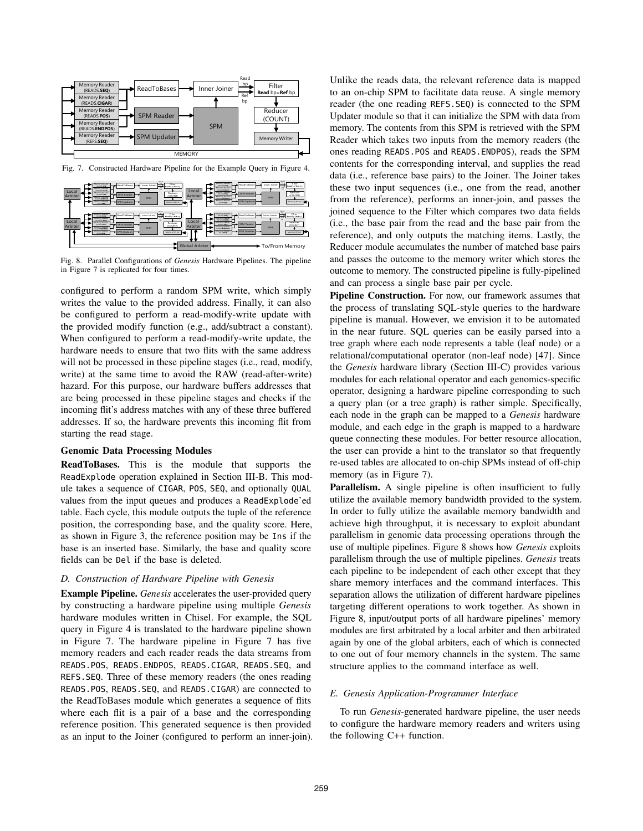

Fig. 7. Constructed Hardware Pipeline for the Example Query in Figure 4.



Fig. 8. Parallel Configurations of *Genesis* Hardware Pipelines. The pipeline in Figure 7 is replicated for four times.

configured to perform a random SPM write, which simply writes the value to the provided address. Finally, it can also be configured to perform a read-modify-write update with the provided modify function (e.g., add/subtract a constant). When configured to perform a read-modify-write update, the hardware needs to ensure that two flits with the same address will not be processed in these pipeline stages (i.e., read, modify, write) at the same time to avoid the RAW (read-after-write) hazard. For this purpose, our hardware buffers addresses that are being processed in these pipeline stages and checks if the incoming flit's address matches with any of these three buffered addresses. If so, the hardware prevents this incoming flit from starting the read stage.

## Genomic Data Processing Modules

ReadToBases. This is the module that supports the ReadExplode operation explained in Section III-B. This module takes a sequence of CIGAR, POS, SEQ, and optionally QUAL values from the input queues and produces a ReadExplode'ed table. Each cycle, this module outputs the tuple of the reference position, the corresponding base, and the quality score. Here, as shown in Figure 3, the reference position may be Ins if the base is an inserted base. Similarly, the base and quality score fields can be Del if the base is deleted.

## *D. Construction of Hardware Pipeline with Genesis*

Example Pipeline. *Genesis* accelerates the user-provided query by constructing a hardware pipeline using multiple *Genesis* hardware modules written in Chisel. For example, the SQL query in Figure 4 is translated to the hardware pipeline shown in Figure 7. The hardware pipeline in Figure 7 has five memory readers and each reader reads the data streams from READS.POS, READS.ENDPOS, READS.CIGAR, READS.SEQ, and REFS.SEQ. Three of these memory readers (the ones reading READS.POS, READS.SEQ, and READS.CIGAR) are connected to the ReadToBases module which generates a sequence of flits where each flit is a pair of a base and the corresponding reference position. This generated sequence is then provided as an input to the Joiner (configured to perform an inner-join).

Unlike the reads data, the relevant reference data is mapped to an on-chip SPM to facilitate data reuse. A single memory reader (the one reading REFS.SEQ) is connected to the SPM Updater module so that it can initialize the SPM with data from memory. The contents from this SPM is retrieved with the SPM Reader which takes two inputs from the memory readers (the ones reading READS.POS and READS.ENDPOS), reads the SPM contents for the corresponding interval, and supplies the read data (i.e., reference base pairs) to the Joiner. The Joiner takes these two input sequences (i.e., one from the read, another from the reference), performs an inner-join, and passes the joined sequence to the Filter which compares two data fields (i.e., the base pair from the read and the base pair from the reference), and only outputs the matching items. Lastly, the Reducer module accumulates the number of matched base pairs and passes the outcome to the memory writer which stores the outcome to memory. The constructed pipeline is fully-pipelined and can process a single base pair per cycle.

Pipeline Construction. For now, our framework assumes that the process of translating SQL-style queries to the hardware pipeline is manual. However, we envision it to be automated in the near future. SQL queries can be easily parsed into a tree graph where each node represents a table (leaf node) or a relational/computational operator (non-leaf node) [47]. Since the *Genesis* hardware library (Section III-C) provides various modules for each relational operator and each genomics-specific operator, designing a hardware pipeline corresponding to such a query plan (or a tree graph) is rather simple. Specifically, each node in the graph can be mapped to a *Genesis* hardware module, and each edge in the graph is mapped to a hardware queue connecting these modules. For better resource allocation, the user can provide a hint to the translator so that frequently re-used tables are allocated to on-chip SPMs instead of off-chip memory (as in Figure 7).

Parallelism. A single pipeline is often insufficient to fully utilize the available memory bandwidth provided to the system. In order to fully utilize the available memory bandwidth and achieve high throughput, it is necessary to exploit abundant parallelism in genomic data processing operations through the use of multiple pipelines. Figure 8 shows how *Genesis* exploits parallelism through the use of multiple pipelines. *Genesis* treats each pipeline to be independent of each other except that they share memory interfaces and the command interfaces. This separation allows the utilization of different hardware pipelines targeting different operations to work together. As shown in Figure 8, input/output ports of all hardware pipelines' memory modules are first arbitrated by a local arbiter and then arbitrated again by one of the global arbiters, each of which is connected to one out of four memory channels in the system. The same structure applies to the command interface as well.

## *E. Genesis Application-Programmer Interface*

To run *Genesis*-generated hardware pipeline, the user needs to configure the hardware memory readers and writers using the following C++ function.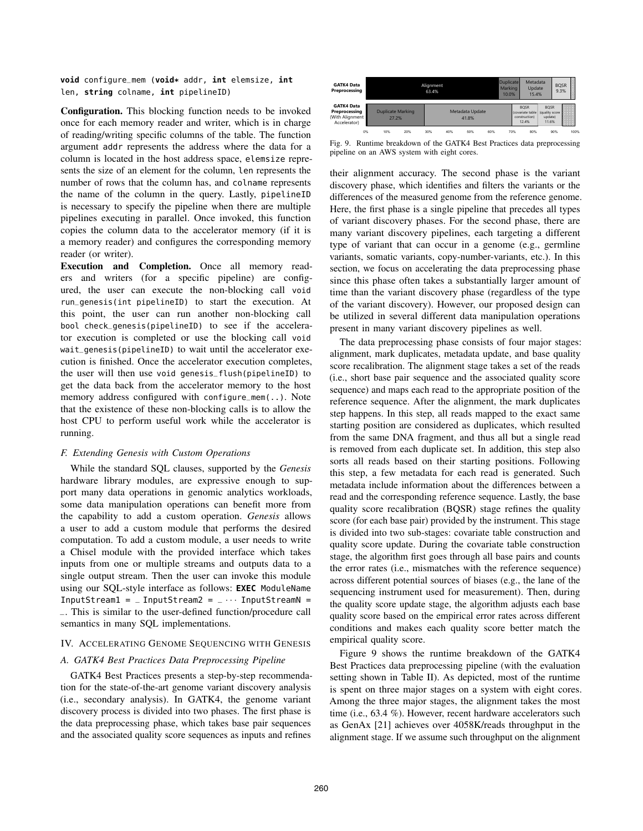**void** configure\_mem (**void\*** addr, **int** elemsize, **int** len, **string** colname, **int** pipelineID)

Configuration. This blocking function needs to be invoked once for each memory reader and writer, which is in charge of reading/writing specific columns of the table. The function argument addr represents the address where the data for a column is located in the host address space, elemsize represents the size of an element for the column, len represents the number of rows that the column has, and colname represents the name of the column in the query. Lastly, pipelineID is necessary to specify the pipeline when there are multiple pipelines executing in parallel. Once invoked, this function copies the column data to the accelerator memory (if it is a memory reader) and configures the corresponding memory reader (or writer).

Execution and Completion. Once all memory readers and writers (for a specific pipeline) are configured, the user can execute the non-blocking call void run\_genesis(int pipelineID) to start the execution. At this point, the user can run another non-blocking call bool check\_genesis(pipelineID) to see if the accelerator execution is completed or use the blocking call void wait\_genesis(pipelineID) to wait until the accelerator execution is finished. Once the accelerator execution completes, the user will then use void genesis\_flush(pipelineID) to get the data back from the accelerator memory to the host memory address configured with configure\_mem(..). Note that the existence of these non-blocking calls is to allow the host CPU to perform useful work while the accelerator is running.

#### *F. Extending Genesis with Custom Operations*

While the standard SQL clauses, supported by the *Genesis* hardware library modules, are expressive enough to support many data operations in genomic analytics workloads, some data manipulation operations can benefit more from the capability to add a custom operation. *Genesis* allows a user to add a custom module that performs the desired computation. To add a custom module, a user needs to write a Chisel module with the provided interface which takes inputs from one or multiple streams and outputs data to a single output stream. Then the user can invoke this module using our SQL-style interface as follows: **EXEC** ModuleName InputStream1 =  $\_$  InputStream2 =  $\_ \cdots$  InputStreamN = \_. This is similar to the user-defined function/procedure call semantics in many SQL implementations.

# IV. ACCELERATING GENOME SEQUENCING WITH GENESIS

# *A. GATK4 Best Practices Data Preprocessing Pipeline*

GATK4 Best Practices presents a step-by-step recommendation for the state-of-the-art genome variant discovery analysis (i.e., secondary analysis). In GATK4, the genome variant discovery process is divided into two phases. The first phase is the data preprocessing phase, which takes base pair sequences and the associated quality score sequences as inputs and refines

| <b>GATK4 Data</b><br>Preprocessing                                    | Alignment<br>63.4% |                          |     |     |                          | <b>Duplicate</b><br>Marking<br>10.0% |  |     | Metadata<br>Update<br>15.4%                                |                                                   | <b>Books of the South Assess</b><br><b>BQSR</b><br>9.3% |      |
|-----------------------------------------------------------------------|--------------------|--------------------------|-----|-----|--------------------------|--------------------------------------|--|-----|------------------------------------------------------------|---------------------------------------------------|---------------------------------------------------------|------|
| <b>GATK4 Data</b><br>Preprocessing<br>(With Alignment<br>Accelerator) | 27.2%              | <b>Duplicate Marking</b> |     |     | Metadata Update<br>41.8% |                                      |  |     | <b>BOSR</b><br>(covariate table)<br>construction)<br>12.4% | <b>BOSR</b><br>(quality score<br>update)<br>11.6% |                                                         |      |
| 0%                                                                    | 10%                | 20%                      | 30% | 40% | 50%                      | 60%                                  |  | 70% | 80%                                                        |                                                   | 90%                                                     | 100% |

Fig. 9. Runtime breakdown of the GATK4 Best Practices data preprocessing pipeline on an AWS system with eight cores.

their alignment accuracy. The second phase is the variant discovery phase, which identifies and filters the variants or the differences of the measured genome from the reference genome. Here, the first phase is a single pipeline that precedes all types of variant discovery phases. For the second phase, there are many variant discovery pipelines, each targeting a different type of variant that can occur in a genome (e.g., germline variants, somatic variants, copy-number-variants, etc.). In this section, we focus on accelerating the data preprocessing phase since this phase often takes a substantially larger amount of time than the variant discovery phase (regardless of the type of the variant discovery). However, our proposed design can be utilized in several different data manipulation operations present in many variant discovery pipelines as well.

The data preprocessing phase consists of four major stages: alignment, mark duplicates, metadata update, and base quality score recalibration. The alignment stage takes a set of the reads (i.e., short base pair sequence and the associated quality score sequence) and maps each read to the appropriate position of the reference sequence. After the alignment, the mark duplicates step happens. In this step, all reads mapped to the exact same starting position are considered as duplicates, which resulted from the same DNA fragment, and thus all but a single read is removed from each duplicate set. In addition, this step also sorts all reads based on their starting positions. Following this step, a few metadata for each read is generated. Such metadata include information about the differences between a read and the corresponding reference sequence. Lastly, the base quality score recalibration (BQSR) stage refines the quality score (for each base pair) provided by the instrument. This stage is divided into two sub-stages: covariate table construction and quality score update. During the covariate table construction stage, the algorithm first goes through all base pairs and counts the error rates (i.e., mismatches with the reference sequence) across different potential sources of biases (e.g., the lane of the sequencing instrument used for measurement). Then, during the quality score update stage, the algorithm adjusts each base quality score based on the empirical error rates across different conditions and makes each quality score better match the empirical quality score.

Figure 9 shows the runtime breakdown of the GATK4 Best Practices data preprocessing pipeline (with the evaluation setting shown in Table II). As depicted, most of the runtime is spent on three major stages on a system with eight cores. Among the three major stages, the alignment takes the most time (i.e., 63.4 %). However, recent hardware accelerators such as GenAx [21] achieves over 4058K/reads throughput in the alignment stage. If we assume such throughput on the alignment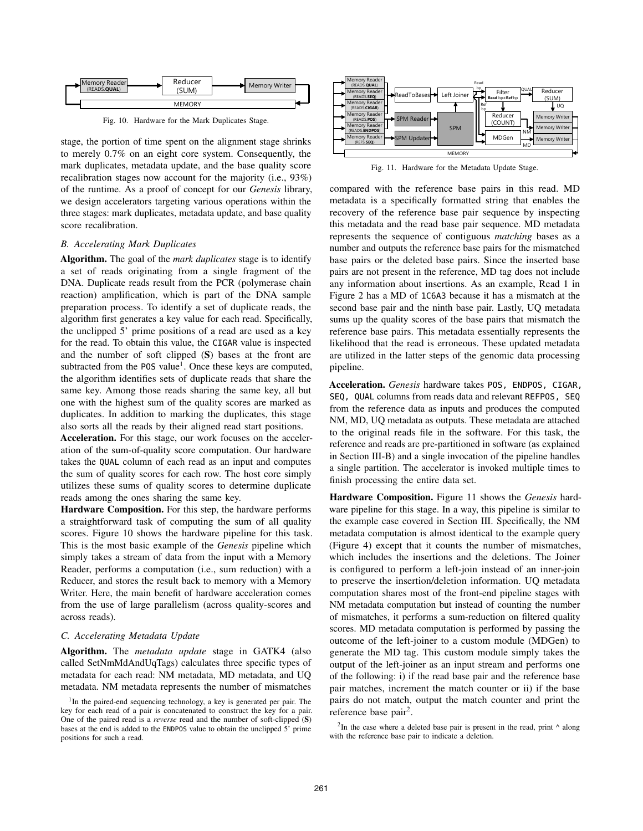

Fig. 10. Hardware for the Mark Duplicates Stage.

stage, the portion of time spent on the alignment stage shrinks to merely 0.7% on an eight core system. Consequently, the mark duplicates, metadata update, and the base quality score recalibration stages now account for the majority (i.e., 93%) of the runtime. As a proof of concept for our *Genesis* library, we design accelerators targeting various operations within the three stages: mark duplicates, metadata update, and base quality score recalibration.

## *B. Accelerating Mark Duplicates*

Algorithm. The goal of the *mark duplicates* stage is to identify a set of reads originating from a single fragment of the DNA. Duplicate reads result from the PCR (polymerase chain reaction) amplification, which is part of the DNA sample preparation process. To identify a set of duplicate reads, the algorithm first generates a key value for each read. Specifically, the unclipped 5' prime positions of a read are used as a key for the read. To obtain this value, the CIGAR value is inspected and the number of soft clipped (S) bases at the front are subtracted from the P0S value<sup>1</sup>. Once these keys are computed, the algorithm identifies sets of duplicate reads that share the same key. Among those reads sharing the same key, all but one with the highest sum of the quality scores are marked as duplicates. In addition to marking the duplicates, this stage also sorts all the reads by their aligned read start positions.

Acceleration. For this stage, our work focuses on the acceleration of the sum-of-quality score computation. Our hardware takes the QUAL column of each read as an input and computes the sum of quality scores for each row. The host core simply utilizes these sums of quality scores to determine duplicate reads among the ones sharing the same key.

Hardware Composition. For this step, the hardware performs a straightforward task of computing the sum of all quality scores. Figure 10 shows the hardware pipeline for this task. This is the most basic example of the *Genesis* pipeline which simply takes a stream of data from the input with a Memory Reader, performs a computation (i.e., sum reduction) with a Reducer, and stores the result back to memory with a Memory Writer. Here, the main benefit of hardware acceleration comes from the use of large parallelism (across quality-scores and across reads).

#### *C. Accelerating Metadata Update*

Algorithm. The *metadata update* stage in GATK4 (also called SetNmMdAndUqTags) calculates three specific types of metadata for each read: NM metadata, MD metadata, and UQ metadata. NM metadata represents the number of mismatches



Fig. 11. Hardware for the Metadata Update Stage.

compared with the reference base pairs in this read. MD metadata is a specifically formatted string that enables the recovery of the reference base pair sequence by inspecting this metadata and the read base pair sequence. MD metadata represents the sequence of contiguous *matching* bases as a number and outputs the reference base pairs for the mismatched base pairs or the deleted base pairs. Since the inserted base pairs are not present in the reference, MD tag does not include any information about insertions. As an example, Read 1 in Figure 2 has a MD of 1C6A3 because it has a mismatch at the second base pair and the ninth base pair. Lastly, UQ metadata sums up the quality scores of the base pairs that mismatch the reference base pairs. This metadata essentially represents the likelihood that the read is erroneous. These updated metadata are utilized in the latter steps of the genomic data processing pipeline.

Acceleration. *Genesis* hardware takes POS, ENDPOS, CIGAR, SEQ, QUAL columns from reads data and relevant REFPOS, SEQ from the reference data as inputs and produces the computed NM, MD, UQ metadata as outputs. These metadata are attached to the original reads file in the software. For this task, the reference and reads are pre-partitioned in software (as explained in Section III-B) and a single invocation of the pipeline handles a single partition. The accelerator is invoked multiple times to finish processing the entire data set.

Hardware Composition. Figure 11 shows the *Genesis* hardware pipeline for this stage. In a way, this pipeline is similar to the example case covered in Section III. Specifically, the NM metadata computation is almost identical to the example query (Figure 4) except that it counts the number of mismatches, which includes the insertions and the deletions. The Joiner is configured to perform a left-join instead of an inner-join to preserve the insertion/deletion information. UQ metadata computation shares most of the front-end pipeline stages with NM metadata computation but instead of counting the number of mismatches, it performs a sum-reduction on filtered quality scores. MD metadata computation is performed by passing the outcome of the left-joiner to a custom module (MDGen) to generate the MD tag. This custom module simply takes the output of the left-joiner as an input stream and performs one of the following: i) if the read base pair and the reference base pair matches, increment the match counter or ii) if the base pairs do not match, output the match counter and print the reference base pair<sup>2</sup>.

 $2$ In the case where a deleted base pair is present in the read, print  $\wedge$  along with the reference base pair to indicate a deletion.

<sup>&</sup>lt;sup>1</sup>In the paired-end sequencing technology, a key is generated per pair. The key for each read of a pair is concatenated to construct the key for a pair. One of the paired read is a *reverse* read and the number of soft-clipped (S) bases at the end is added to the ENDPOS value to obtain the unclipped 5' prime positions for such a read.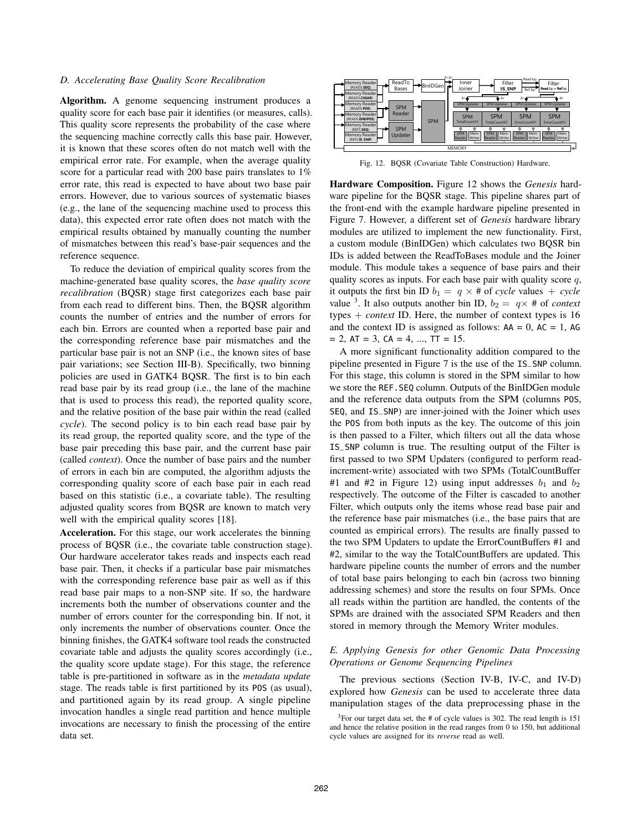# *D. Accelerating Base Quality Score Recalibration*

Algorithm. A genome sequencing instrument produces a quality score for each base pair it identifies (or measures, calls). This quality score represents the probability of the case where the sequencing machine correctly calls this base pair. However, it is known that these scores often do not match well with the empirical error rate. For example, when the average quality score for a particular read with 200 base pairs translates to  $1\%$ error rate, this read is expected to have about two base pair errors. However, due to various sources of systematic biases (e.g., the lane of the sequencing machine used to process this data), this expected error rate often does not match with the empirical results obtained by manually counting the number of mismatches between this read's base-pair sequences and the reference sequence.

To reduce the deviation of empirical quality scores from the machine-generated base quality scores, the *base quality score recalibration* (BQSR) stage first categorizes each base pair from each read to different bins. Then, the BQSR algorithm counts the number of entries and the number of errors for each bin. Errors are counted when a reported base pair and the corresponding reference base pair mismatches and the particular base pair is not an SNP (i.e., the known sites of base pair variations; see Section III-B). Specifically, two binning policies are used in GATK4 BQSR. The first is to bin each read base pair by its read group (i.e., the lane of the machine that is used to process this read), the reported quality score, and the relative position of the base pair within the read (called *cycle*). The second policy is to bin each read base pair by its read group, the reported quality score, and the type of the base pair preceding this base pair, and the current base pair (called *context*). Once the number of base pairs and the number of errors in each bin are computed, the algorithm adjusts the corresponding quality score of each base pair in each read based on this statistic (i.e., a covariate table). The resulting adjusted quality scores from BQSR are known to match very well with the empirical quality scores [18].

Acceleration. For this stage, our work accelerates the binning process of BQSR (i.e., the covariate table construction stage). Our hardware accelerator takes reads and inspects each read base pair. Then, it checks if a particular base pair mismatches with the corresponding reference base pair as well as if this read base pair maps to a non-SNP site. If so, the hardware increments both the number of observations counter and the number of errors counter for the corresponding bin. If not, it only increments the number of observations counter. Once the binning finishes, the GATK4 software tool reads the constructed covariate table and adjusts the quality scores accordingly (i.e., the quality score update stage). For this stage, the reference table is pre-partitioned in software as in the *metadata update* stage. The reads table is first partitioned by its POS (as usual), and partitioned again by its read group. A single pipeline invocation handles a single read partition and hence multiple invocations are necessary to finish the processing of the entire data set.



Fig. 12. BQSR (Covariate Table Construction) Hardware.

Hardware Composition. Figure 12 shows the *Genesis* hardware pipeline for the BQSR stage. This pipeline shares part of the front-end with the example hardware pipeline presented in Figure 7. However, a different set of *Genesis* hardware library modules are utilized to implement the new functionality. First, a custom module (BinIDGen) which calculates two BQSR bin IDs is added between the ReadToBases module and the Joiner module. This module takes a sequence of base pairs and their quality scores as inputs. For each base pair with quality score  $q$ , it outputs the first bin ID  $b_1 = q \times #$  of *cycle* values + *cycle* value <sup>3</sup>. It also outputs another bin ID,  $b_2 = q \times #$  of *context* types + *context* ID. Here, the number of context types is 16 and the context ID is assigned as follows:  $AA = 0$ ,  $AC = 1$ ,  $AG$  $= 2$ , AT  $= 3$ , CA  $= 4$ , ..., TT  $= 15$ .

A more significant functionality addition compared to the pipeline presented in Figure 7 is the use of the IS\_SNP column. For this stage, this column is stored in the SPM similar to how we store the REF.SEQ column. Outputs of the BinIDGen module and the reference data outputs from the SPM (columns POS, SEQ, and IS\_SNP) are inner-joined with the Joiner which uses the POS from both inputs as the key. The outcome of this join is then passed to a Filter, which filters out all the data whose IS\_SNP column is true. The resulting output of the Filter is first passed to two SPM Updaters (configured to perform readincrement-write) associated with two SPMs (TotalCountBuffer #1 and #2 in Figure 12) using input addresses  $b_1$  and  $b_2$ respectively. The outcome of the Filter is cascaded to another Filter, which outputs only the items whose read base pair and the reference base pair mismatches (i.e., the base pairs that are counted as empirical errors). The results are finally passed to the two SPM Updaters to update the ErrorCountBuffers #1 and #2, similar to the way the TotalCountBuffers are updated. This hardware pipeline counts the number of errors and the number of total base pairs belonging to each bin (across two binning addressing schemes) and store the results on four SPMs. Once all reads within the partition are handled, the contents of the SPMs are drained with the associated SPM Readers and then stored in memory through the Memory Writer modules.

# *E. Applying Genesis for other Genomic Data Processing Operations or Genome Sequencing Pipelines*

The previous sections (Section IV-B, IV-C, and IV-D) explored how *Genesis* can be used to accelerate three data manipulation stages of the data preprocessing phase in the

 $3$ For our target data set, the # of cycle values is 302. The read length is 151 and hence the relative position in the read ranges from 0 to 150, but additional cycle values are assigned for its *reverse* read as well.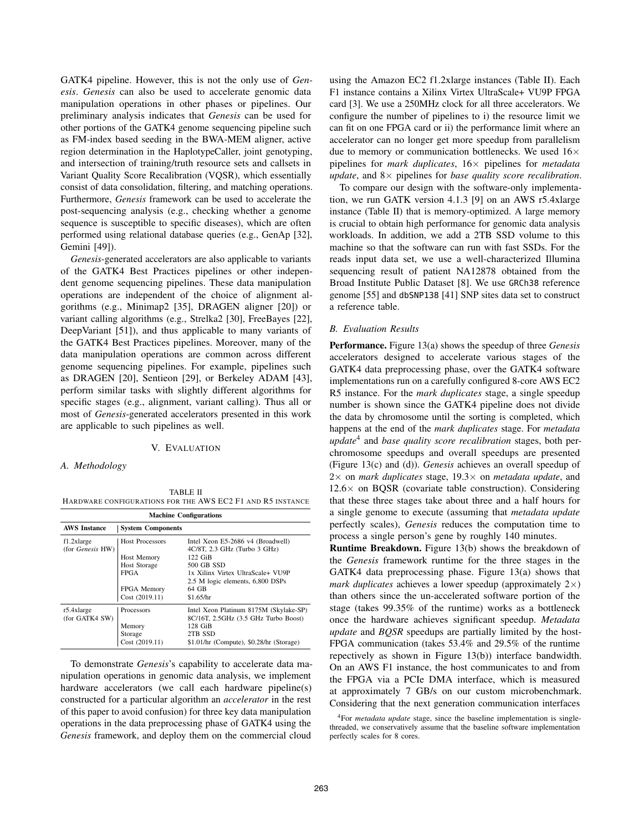GATK4 pipeline. However, this is not the only use of *Genesis*. *Genesis* can also be used to accelerate genomic data manipulation operations in other phases or pipelines. Our preliminary analysis indicates that *Genesis* can be used for other portions of the GATK4 genome sequencing pipeline such as FM-index based seeding in the BWA-MEM aligner, active region determination in the HaplotypeCaller, joint genotyping, and intersection of training/truth resource sets and callsets in Variant Quality Score Recalibration (VQSR), which essentially consist of data consolidation, filtering, and matching operations. Furthermore, *Genesis* framework can be used to accelerate the post-sequencing analysis (e.g., checking whether a genome sequence is susceptible to specific diseases), which are often performed using relational database queries (e.g., GenAp [32], Gemini [49]).

*Genesis*-generated accelerators are also applicable to variants of the GATK4 Best Practices pipelines or other independent genome sequencing pipelines. These data manipulation operations are independent of the choice of alignment algorithms (e.g., Minimap2 [35], DRAGEN aligner [20]) or variant calling algorithms (e.g., Strelka2 [30], FreeBayes [22], DeepVariant [51]), and thus applicable to many variants of the GATK4 Best Practices pipelines. Moreover, many of the data manipulation operations are common across different genome sequencing pipelines. For example, pipelines such as DRAGEN [20], Sentieon [29], or Berkeley ADAM [43], perform similar tasks with slightly different algorithms for specific stages (e.g., alignment, variant calling). Thus all or most of *Genesis*-generated accelerators presented in this work are applicable to such pipelines as well.

#### V. EVALUATION

# *A. Methodology*

TABLE II HARDWARE CONFIGURATIONS FOR THE AWS EC2 F1 AND R5 INSTANCE

| <b>Machine Configurations</b>            |                          |                                                                                |  |  |  |
|------------------------------------------|--------------------------|--------------------------------------------------------------------------------|--|--|--|
| <b>AWS</b> Instance                      | <b>System Components</b> |                                                                                |  |  |  |
| $f1.2x$ large<br>(for <i>Genesis</i> HW) | <b>Host Processors</b>   | Intel Xeon E5-2686 v4 (Broadwell)<br>$4C/8T$ , 2.3 GHz (Turbo 3 GHz)           |  |  |  |
|                                          | <b>Host Memory</b>       | 122 GiB                                                                        |  |  |  |
|                                          | Host Storage             | 500 GB SSD                                                                     |  |  |  |
|                                          | <b>FPGA</b>              | 1x Xilinx Virtex UltraScale+ VU9P                                              |  |  |  |
|                                          |                          | 2.5 M logic elements, 6,800 DSPs                                               |  |  |  |
|                                          | <b>FPGA</b> Memory       | 64 GB                                                                          |  |  |  |
|                                          | Cost (2019.11)           | \$1.65/hr                                                                      |  |  |  |
| $r5.4x$ large<br>(for GATK4 SW)          | Processors               | Intel Xeon Platinum 8175M (Skylake-SP)<br>8C/16T, 2.5GHz (3.5 GHz Turbo Boost) |  |  |  |
|                                          | Memory                   | 128 GiB                                                                        |  |  |  |
|                                          | Storage                  | 2TB SSD                                                                        |  |  |  |
|                                          | Cost (2019.11)           | \$1.01/hr (Compute), \$0.28/hr (Storage)                                       |  |  |  |

To demonstrate *Genesis*'s capability to accelerate data manipulation operations in genomic data analysis, we implement hardware accelerators (we call each hardware pipeline(s) constructed for a particular algorithm an *accelerator* in the rest of this paper to avoid confusion) for three key data manipulation operations in the data preprocessing phase of GATK4 using the *Genesis* framework, and deploy them on the commercial cloud

using the Amazon EC2 f1.2xlarge instances (Table II). Each F1 instance contains a Xilinx Virtex UltraScale+ VU9P FPGA card [3]. We use a 250MHz clock for all three accelerators. We configure the number of pipelines to i) the resource limit we can fit on one FPGA card or ii) the performance limit where an accelerator can no longer get more speedup from parallelism due to memory or communication bottlenecks. We used  $16\times$ pipelines for *mark duplicates*, 16× pipelines for *metadata update*, and 8× pipelines for *base quality score recalibration*.

To compare our design with the software-only implementation, we run GATK version 4.1.3 [9] on an AWS r5.4xlarge instance (Table II) that is memory-optimized. A large memory is crucial to obtain high performance for genomic data analysis workloads. In addition, we add a 2TB SSD volume to this machine so that the software can run with fast SSDs. For the reads input data set, we use a well-characterized Illumina sequencing result of patient NA12878 obtained from the Broad Institute Public Dataset [8]. We use GRCh38 reference genome [55] and dbSNP138 [41] SNP sites data set to construct a reference table.

#### *B. Evaluation Results*

Performance. Figure 13(a) shows the speedup of three *Genesis* accelerators designed to accelerate various stages of the GATK4 data preprocessing phase, over the GATK4 software implementations run on a carefully configured 8-core AWS EC2 R5 instance. For the *mark duplicates* stage, a single speedup number is shown since the GATK4 pipeline does not divide the data by chromosome until the sorting is completed, which happens at the end of the *mark duplicates* stage. For *metadata update*<sup>4</sup> and *base quality score recalibration* stages, both perchromosome speedups and overall speedups are presented (Figure 13(c) and (d)). *Genesis* achieves an overall speedup of 2× on *mark duplicates* stage, 19.3× on *metadata update*, and  $12.6\times$  on BQSR (covariate table construction). Considering that these three stages take about three and a half hours for a single genome to execute (assuming that *metadata update* perfectly scales), *Genesis* reduces the computation time to process a single person's gene by roughly 140 minutes.

Runtime Breakdown. Figure 13(b) shows the breakdown of the *Genesis* framework runtime for the three stages in the GATK4 data preprocessing phase. Figure 13(a) shows that *mark duplicates* achieves a lower speedup (approximately  $2 \times$ ) than others since the un-accelerated software portion of the stage (takes 99.35% of the runtime) works as a bottleneck once the hardware achieves significant speedup. *Metadata update* and *BQSR* speedups are partially limited by the host-FPGA communication (takes 53.4% and 29.5% of the runtime repectively as shown in Figure 13(b)) interface bandwidth. On an AWS F1 instance, the host communicates to and from the FPGA via a PCIe DMA interface, which is measured at approximately 7 GB/s on our custom microbenchmark. Considering that the next generation communication interfaces

<sup>4</sup>For *metadata update* stage, since the baseline implementation is singlethreaded, we conservatively assume that the baseline software implementation perfectly scales for 8 cores.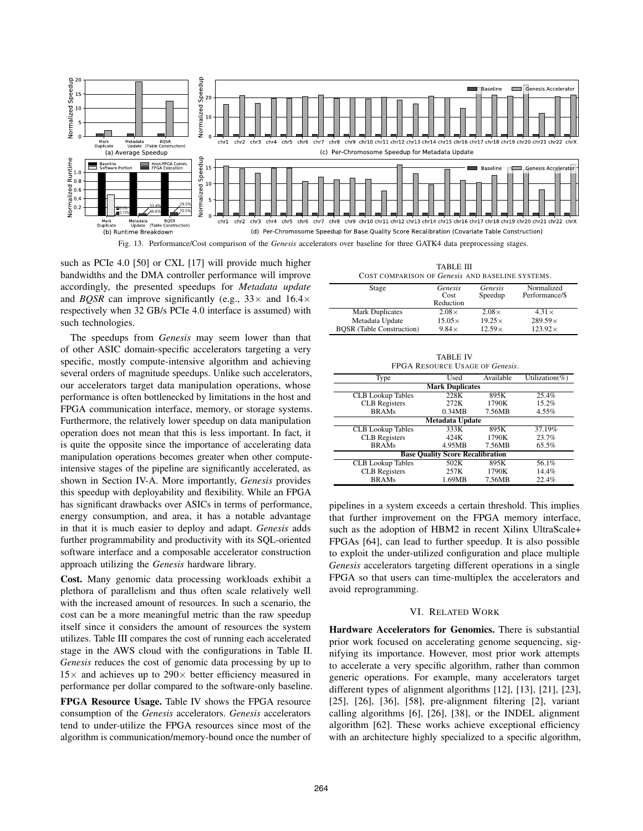

Fig. 13. Performance/Cost comparison of the *Genesis* accelerators over baseline for three GATK4 data preprocessing stages.

such as PCIe 4.0 [50] or CXL [17] will provide much higher bandwidths and the DMA controller performance will improve accordingly, the presented speedups for *Metadata update* and *BQSR* can improve significantly (e.g.,  $33 \times$  and  $16.4 \times$ respectively when 32 GB/s PCIe 4.0 interface is assumed) with such technologies.

The speedups from *Genesis* may seem lower than that of other ASIC domain-specific accelerators targeting a very specific, mostly compute-intensive algorithm and achieving several orders of magnitude speedups. Unlike such accelerators, our accelerators target data manipulation operations, whose performance is often bottlenecked by limitations in the host and FPGA communication interface, memory, or storage systems. Furthermore, the relatively lower speedup on data manipulation operation does not mean that this is less important. In fact, it is quite the opposite since the importance of accelerating data manipulation operations becomes greater when other computeintensive stages of the pipeline are significantly accelerated, as shown in Section IV-A. More importantly, *Genesis* provides this speedup with deployability and flexibility. While an FPGA has significant drawbacks over ASICs in terms of performance, energy consumption, and area, it has a notable advantage in that it is much easier to deploy and adapt. *Genesis* adds further programmability and productivity with its SQL-oriented software interface and a composable accelerator construction approach utilizing the *Genesis* hardware library.

Cost. Many genomic data processing workloads exhibit a plethora of parallelism and thus often scale relatively well with the increased amount of resources. In such a scenario, the cost can be a more meaningful metric than the raw speedup itself since it considers the amount of resources the system utilizes. Table III compares the cost of running each accelerated stage in the AWS cloud with the configurations in Table II. *Genesis* reduces the cost of genomic data processing by up to  $15\times$  and achieves up to  $290\times$  better efficiency measured in performance per dollar compared to the software-only baseline.

FPGA Resource Usage. Table IV shows the FPGA resource consumption of the *Genesis* accelerators. *Genesis* accelerators tend to under-utilize the FPGA resources since most of the algorithm is communication/memory-bound once the number of

| TABLE III                                        |  |  |  |  |  |
|--------------------------------------------------|--|--|--|--|--|
| COST COMPARISON OF Genesis AND BASELINE SYSTEMS. |  |  |  |  |  |

| Stage                            | Genesis<br>Cost<br>Reduction | Genesis<br>Speedup | Normalized<br>Performance/\$ |
|----------------------------------|------------------------------|--------------------|------------------------------|
| <b>Mark Duplicates</b>           | $2.08\times$                 | $2.08\times$       | $4.31\times$                 |
| Metadata Update                  | $15.05\times$                | $19.25\times$      | $289.59\times$               |
| <b>BOSR</b> (Table Construction) | $9.84\times$                 | $12.59\times$      | $123.92\times$               |

TABLE IV FPGA RESOURCE USAGE OF *Genesis*.

| Type                                    | Used   | Available | Utilization(%) |  |  |  |  |
|-----------------------------------------|--------|-----------|----------------|--|--|--|--|
| <b>Mark Duplicates</b>                  |        |           |                |  |  |  |  |
| <b>CLB</b> Lookup Tables                | 228K   | 895K      | 25.4%          |  |  |  |  |
| <b>CLB</b> Registers                    | 272K   | 1790K     | 15.2%          |  |  |  |  |
| <b>BRAMs</b>                            | 0.34MB | 7.56MB    | 4.55%          |  |  |  |  |
| <b>Metadata Update</b>                  |        |           |                |  |  |  |  |
| <b>CLB</b> Lookup Tables                | 333K   | 895K      | 37.19%         |  |  |  |  |
| <b>CLB</b> Registers                    | 424K   | 1790K     | 23.7%          |  |  |  |  |
| <b>BRAMs</b>                            | 4.95MB | 7.56MB    | 65.5%          |  |  |  |  |
| <b>Base Quality Score Recalibration</b> |        |           |                |  |  |  |  |
| <b>CLB</b> Lookup Tables                | 502K   | 895K      | 56.1%          |  |  |  |  |
| <b>CLB</b> Registers                    | 257K   | 1790K     | 14.4%          |  |  |  |  |
| <b>BRAMs</b>                            | 1.69MB | 7.56MB    | 22.4%          |  |  |  |  |

pipelines in a system exceeds a certain threshold. This implies that further improvement on the FPGA memory interface, such as the adoption of HBM2 in recent Xilinx UltraScale+ FPGAs [64], can lead to further speedup. It is also possible to exploit the under-utilized configuration and place multiple *Genesis* accelerators targeting different operations in a single FPGA so that users can time-multiplex the accelerators and avoid reprogramming.

#### VI. RELATED WORK

Hardware Accelerators for Genomics. There is substantial prior work focused on accelerating genome sequencing, signifying its importance. However, most prior work attempts to accelerate a very specific algorithm, rather than common generic operations. For example, many accelerators target different types of alignment algorithms [12], [13], [21], [23], [25], [26], [36], [58], pre-alignment filtering [2], variant calling algorithms [6], [26], [38], or the INDEL alignment algorithm [62]. These works achieve exceptional efficiency with an architecture highly specialized to a specific algorithm,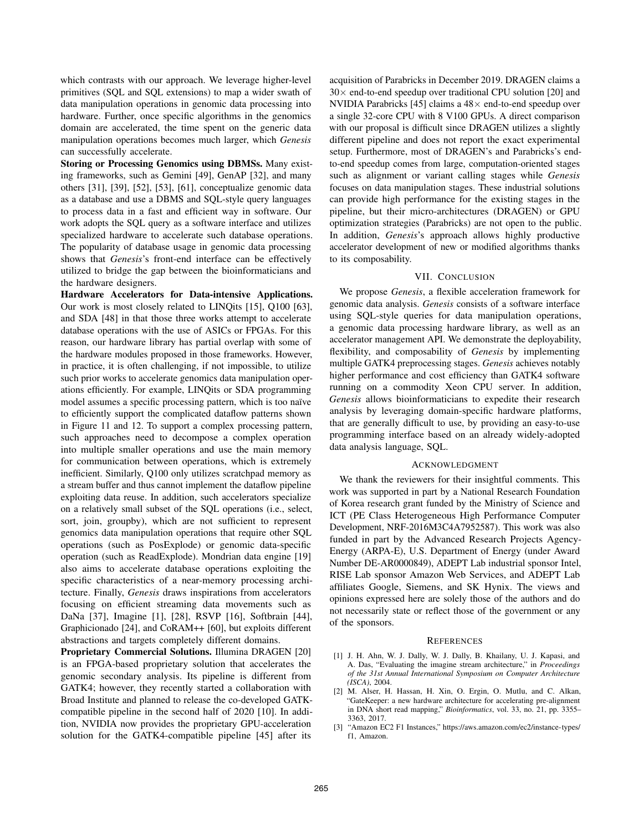which contrasts with our approach. We leverage higher-level primitives (SQL and SQL extensions) to map a wider swath of data manipulation operations in genomic data processing into hardware. Further, once specific algorithms in the genomics domain are accelerated, the time spent on the generic data manipulation operations becomes much larger, which *Genesis* can successfully accelerate.

Storing or Processing Genomics using DBMSs. Many existing frameworks, such as Gemini [49], GenAP [32], and many others [31], [39], [52], [53], [61], conceptualize genomic data as a database and use a DBMS and SQL-style query languages to process data in a fast and efficient way in software. Our work adopts the SQL query as a software interface and utilizes specialized hardware to accelerate such database operations. The popularity of database usage in genomic data processing shows that *Genesis*'s front-end interface can be effectively utilized to bridge the gap between the bioinformaticians and the hardware designers.

Hardware Accelerators for Data-intensive Applications. Our work is most closely related to LINQits [15], Q100 [63], and SDA [48] in that those three works attempt to accelerate database operations with the use of ASICs or FPGAs. For this reason, our hardware library has partial overlap with some of the hardware modules proposed in those frameworks. However, in practice, it is often challenging, if not impossible, to utilize such prior works to accelerate genomics data manipulation operations efficiently. For example, LINQits or SDA programming model assumes a specific processing pattern, which is too naïve to efficiently support the complicated dataflow patterns shown in Figure 11 and 12. To support a complex processing pattern, such approaches need to decompose a complex operation into multiple smaller operations and use the main memory for communication between operations, which is extremely inefficient. Similarly, Q100 only utilizes scratchpad memory as a stream buffer and thus cannot implement the dataflow pipeline exploiting data reuse. In addition, such accelerators specialize on a relatively small subset of the SQL operations (i.e., select, sort, join, groupby), which are not sufficient to represent genomics data manipulation operations that require other SQL operations (such as PosExplode) or genomic data-specific operation (such as ReadExplode). Mondrian data engine [19] also aims to accelerate database operations exploiting the specific characteristics of a near-memory processing architecture. Finally, *Genesis* draws inspirations from accelerators focusing on efficient streaming data movements such as DaNa [37], Imagine [1], [28], RSVP [16], Softbrain [44], Graphicionado [24], and CoRAM++ [60], but exploits different abstractions and targets completely different domains.

Proprietary Commercial Solutions. Illumina DRAGEN [20] is an FPGA-based proprietary solution that accelerates the genomic secondary analysis. Its pipeline is different from GATK4; however, they recently started a collaboration with Broad Institute and planned to release the co-developed GATKcompatible pipeline in the second half of 2020 [10]. In addition, NVIDIA now provides the proprietary GPU-acceleration solution for the GATK4-compatible pipeline [45] after its

acquisition of Parabricks in December 2019. DRAGEN claims a  $30\times$  end-to-end speedup over traditional CPU solution [20] and NVIDIA Parabricks [45] claims a  $48\times$  end-to-end speedup over a single 32-core CPU with 8 V100 GPUs. A direct comparison with our proposal is difficult since DRAGEN utilizes a slightly different pipeline and does not report the exact experimental setup. Furthermore, most of DRAGEN's and Parabricks's endto-end speedup comes from large, computation-oriented stages such as alignment or variant calling stages while *Genesis* focuses on data manipulation stages. These industrial solutions can provide high performance for the existing stages in the pipeline, but their micro-architectures (DRAGEN) or GPU optimization strategies (Parabricks) are not open to the public. In addition, *Genesis*'s approach allows highly productive accelerator development of new or modified algorithms thanks to its composability.

# VII. CONCLUSION

We propose *Genesis*, a flexible acceleration framework for genomic data analysis. *Genesis* consists of a software interface using SQL-style queries for data manipulation operations, a genomic data processing hardware library, as well as an accelerator management API. We demonstrate the deployability, flexibility, and composability of *Genesis* by implementing multiple GATK4 preprocessing stages. *Genesis* achieves notably higher performance and cost efficiency than GATK4 software running on a commodity Xeon CPU server. In addition, *Genesis* allows bioinformaticians to expedite their research analysis by leveraging domain-specific hardware platforms, that are generally difficult to use, by providing an easy-to-use programming interface based on an already widely-adopted data analysis language, SQL.

#### ACKNOWLEDGMENT

We thank the reviewers for their insightful comments. This work was supported in part by a National Research Foundation of Korea research grant funded by the Ministry of Science and ICT (PE Class Heterogeneous High Performance Computer Development, NRF-2016M3C4A7952587). This work was also funded in part by the Advanced Research Projects Agency-Energy (ARPA-E), U.S. Department of Energy (under Award Number DE-AR0000849), ADEPT Lab industrial sponsor Intel, RISE Lab sponsor Amazon Web Services, and ADEPT Lab affiliates Google, Siemens, and SK Hynix. The views and opinions expressed here are solely those of the authors and do not necessarily state or reflect those of the government or any of the sponsors.

#### **REFERENCES**

- [1] J. H. Ahn, W. J. Dally, W. J. Dally, B. Khailany, U. J. Kapasi, and A. Das, "Evaluating the imagine stream architecture," in *Proceedings of the 31st Annual International Symposium on Computer Architecture (ISCA)*, 2004.
- [2] M. Alser, H. Hassan, H. Xin, O. Ergin, O. Mutlu, and C. Alkan, "GateKeeper: a new hardware architecture for accelerating pre-alignment in DNA short read mapping," *Bioinformatics*, vol. 33, no. 21, pp. 3355– 3363, 2017.
- [3] "Amazon EC2 F1 Instances," https://aws.amazon.com/ec2/instance-types/ f1, Amazon.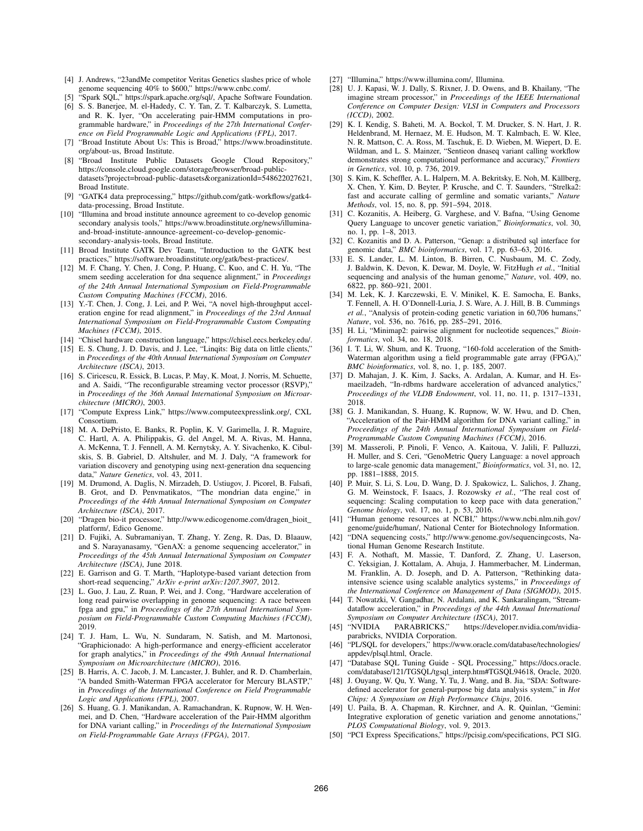- [4] J. Andrews, "23andMe competitor Veritas Genetics slashes price of whole genome sequencing 40% to \$600," https://www.cnbc.com/.
- "Spark SQL," https://spark.apache.org/sql/, Apache Software Foundation.
- [6] S. S. Banerjee, M. el-Hadedy, C. Y. Tan, Z. T. Kalbarczyk, S. Lumetta, and R. K. Iyer, "On accelerating pair-HMM computations in programmable hardware," in *Proceedings of the 27th International Conference on Field Programmable Logic and Applications (FPL)*, 2017.
- [7] "Broad Institute About Us: This is Broad," https://www.broadinstitute. org/about-us, Broad Institute.
- "Broad Institute Public Datasets Google Cloud Repository," https://console.cloud.google.com/storage/browser/broad-publicdatasets?project=broad-public-datasets&organizationId=548622027621, Broad Institute.
- [9] "GATK4 data preprocessing," https://github.com/gatk-workflows/gatk4 data-processing, Broad Institute.
- [10] "Illumina and broad institute announce agreement to co-develop genomic secondary analysis tools," https://www.broadinstitute.org/news/illuminaand-broad-institute-announce-agreement-co-develop-genomicsecondary-analysis-tools, Broad Institute.
- [11] Broad Institute GATK Dev Team, "Introduction to the GATK best practices," https://software.broadinstitute.org/gatk/best-practices/.
- [12] M. F. Chang, Y. Chen, J. Cong, P. Huang, C. Kuo, and C. H. Yu, "The smem seeding acceleration for dna sequence alignment," in *Proceedings of the 24th Annual International Symposium on Field-Programmable Custom Computing Machines (FCCM)*, 2016.
- [13] Y.-T. Chen, J. Cong, J. Lei, and P. Wei, "A novel high-throughput acceleration engine for read alignment," in *Proceedings of the 23rd Annual International Symposium on Field-Programmable Custom Computing Machines (FCCM)*, 2015.
- [14] "Chisel hardware construction language," https://chisel.eecs.berkeley.edu/.
- [15] E. S. Chung, J. D. Davis, and J. Lee, "Linqits: Big data on little clients," in *Proceedings of the 40th Annual International Symposium on Computer Architecture (ISCA)*, 2013.
- [16] S. Ciricescu, R. Essick, B. Lucas, P. May, K. Moat, J. Norris, M. Schuette, and A. Saidi, "The reconfigurable streaming vector processor (RSVP)," in *Proceedings of the 36th Annual International Symposium on Microarchitecture (MICRO)*, 2003.
- [17] "Compute Express Link," https://www.computeexpresslink.org/, CXL Consortium.
- [18] M. A. DePristo, E. Banks, R. Poplin, K. V. Garimella, J. R. Maguire, C. Hartl, A. A. Philippakis, G. del Angel, M. A. Rivas, M. Hanna, A. McKenna, T. J. Fennell, A. M. Kernytsky, A. Y. Sivachenko, K. Cibulskis, S. B. Gabriel, D. Altshuler, and M. J. Daly, "A framework for variation discovery and genotyping using next-generation dna sequencing data," *Nature Genetics*, vol. 43, 2011.
- [19] M. Drumond, A. Daglis, N. Mirzadeh, D. Ustiugov, J. Picorel, B. Falsafi, B. Grot, and D. Penvmatikatos, "The mondrian data engine," in *Proceedings of the 44th Annual International Symposium on Computer Architecture (ISCA)*, 2017.
- [20] "Dragen bio-it processor," http://www.edicogenome.com/dragen\_bioit\_ platform/, Edico Genome.
- [21] D. Fujiki, A. Subramaniyan, T. Zhang, Y. Zeng, R. Das, D. Blaauw, and S. Narayanasamy, "GenAX: a genome sequencing accelerator," in *Proceedings of the 45th Annual International Symposium on Computer Architecture (ISCA)*, June 2018.
- [22] E. Garrison and G. T. Marth, "Haplotype-based variant detection from short-read sequencing," *ArXiv e-print arXiv:1207.3907*, 2012.
- [23] L. Guo, J. Lau, Z. Ruan, P. Wei, and J. Cong, "Hardware acceleration of long read pairwise overlapping in genome sequencing: A race between fpga and gpu," in *Proceedings of the 27th Annual International Symposium on Field-Programmable Custom Computing Machines (FCCM)*, 2019.
- [24] T. J. Ham, L. Wu, N. Sundaram, N. Satish, and M. Martonosi, "Graphicionado: A high-performance and energy-efficient accelerator for graph analytics," in *Proceedings of the 49th Annual International Symposium on Microarchitecture (MICRO)*, 2016.
- [25] B. Harris, A. C. Jacob, J. M. Lancaster, J. Buhler, and R. D. Chamberlain, "A banded Smith-Waterman FPGA accelerator for Mercury BLASTP," in *Proceedings of the International Conference on Field Programmable Logic and Applications (FPL)*, 2007.
- [26] S. Huang, G. J. Manikandan, A. Ramachandran, K. Rupnow, W. H. Wenmei, and D. Chen, "Hardware acceleration of the Pair-HMM algorithm for DNA variant calling," in *Proceedings of the International Symposium on Field-Programmable Gate Arrays (FPGA)*, 2017.
- [27] "Illumina," https://www.illumina.com/, Illumina.
- [28] U. J. Kapasi, W. J. Dally, S. Rixner, J. D. Owens, and B. Khailany, "The imagine stream processor," in *Proceedings of the IEEE International Conference on Computer Design: VLSI in Computers and Processors (ICCD)*, 2002.
- [29] K. I. Kendig, S. Baheti, M. A. Bockol, T. M. Drucker, S. N. Hart, J. R. Heldenbrand, M. Hernaez, M. E. Hudson, M. T. Kalmbach, E. W. Klee, N. R. Mattson, C. A. Ross, M. Taschuk, E. D. Wieben, M. Wiepert, D. E. Wildman, and L. S. Mainzer, "Sentieon dnaseq variant calling workflow demonstrates strong computational performance and accuracy," *Frontiers in Genetics*, vol. 10, p. 736, 2019.
- [30] S. Kim, K. Scheffler, A. L. Halpern, M. A. Bekritsky, E. Noh, M. Källberg, X. Chen, Y. Kim, D. Beyter, P. Krusche, and C. T. Saunders, "Strelka2: fast and accurate calling of germline and somatic variants," *Nature Methods*, vol. 15, no. 8, pp. 591–594, 2018.
- [31] C. Kozanitis, A. Heiberg, G. Varghese, and V. Bafna, "Using Genome Query Language to uncover genetic variation," *Bioinformatics*, vol. 30, no. 1, pp. 1–8, 2013.
- [32] C. Kozanitis and D. A. Patterson, "Genap: a distributed sql interface for genomic data," *BMC bioinformatics*, vol. 17, pp. 63–63, 2016.
- [33] E. S. Lander, L. M. Linton, B. Birren, C. Nusbaum, M. C. Zody, J. Baldwin, K. Devon, K. Dewar, M. Doyle, W. FitzHugh *et al.*, "Initial sequencing and analysis of the human genome," *Nature*, vol. 409, no. 6822, pp. 860–921, 2001.
- [34] M. Lek, K. J. Karczewski, E. V. Minikel, K. E. Samocha, E. Banks, T. Fennell, A. H. O'Donnell-Luria, J. S. Ware, A. J. Hill, B. B. Cummings *et al.*, "Analysis of protein-coding genetic variation in 60,706 humans," *Nature*, vol. 536, no. 7616, pp. 285–291, 2016.
- [35] H. Li, "Minimap2: pairwise alignment for nucleotide sequences," *Bioinformatics*, vol. 34, no. 18, 2018.
- [36] I. T. Li, W. Shum, and K. Truong, "160-fold acceleration of the Smith-Waterman algorithm using a field programmable gate array (FPGA)," *BMC bioinformatics*, vol. 8, no. 1, p. 185, 2007.
- [37] D. Mahajan, J. K. Kim, J. Sacks, A. Ardalan, A. Kumar, and H. Esmaeilzadeh, "In-rdbms hardware acceleration of advanced analytics," *Proceedings of the VLDB Endowment*, vol. 11, no. 11, p. 1317–1331, 2018.
- [38] G. J. Manikandan, S. Huang, K. Rupnow, W. W. Hwu, and D. Chen, "Acceleration of the Pair-HMM algorithm for DNA variant calling," in *Proceedings of the 24th Annual International Symposium on Field-Programmable Custom Computing Machines (FCCM)*, 2016.
- [39] M. Masseroli, P. Pinoli, F. Venco, A. Kaitoua, V. Jalili, F. Palluzzi, H. Muller, and S. Ceri, "GenoMetric Query Language: a novel approach to large-scale genomic data management," *Bioinformatics*, vol. 31, no. 12, pp. 1881–1888, 2015.
- [40] P. Muir, S. Li, S. Lou, D. Wang, D. J. Spakowicz, L. Salichos, J. Zhang, G. M. Weinstock, F. Isaacs, J. Rozowsky *et al.*, "The real cost of sequencing: Scaling computation to keep pace with data generation," *Genome biology*, vol. 17, no. 1, p. 53, 2016.
- [41] "Human genome resources at NCBI," https://www.ncbi.nlm.nih.gov/ genome/guide/human/, National Center for Biotechnology Information.
- [42] "DNA sequencing costs," http://www.genome.gov/sequencingcosts, National Human Genome Research Institute.
- [43] F. A. Nothaft, M. Massie, T. Danford, Z. Zhang, U. Laserson, C. Yeksigian, J. Kottalam, A. Ahuja, J. Hammerbacher, M. Linderman, M. Franklin, A. D. Joseph, and D. A. Patterson, "Rethinking dataintensive science using scalable analytics systems," in *Proceedings of the International Conference on Management of Data (SIGMOD)*, 2015.
- [44] T. Nowatzki, V. Gangadhar, N. Ardalani, and K. Sankaralingam, "Streamdataflow acceleration," in *Proceedings of the 44th Annual International Symposium on Computer Architecture (ISCA)*, 2017.
- https://developer.nvidia.com/nvidiaparabricks, NVIDIA Corporation.
- [46] "PL/SQL for developers," https://www.oracle.com/database/technologies/ appdev/plsql.html, Oracle.
- [47] "Database SQL Tuning Guide SQL Processing," https://docs.oracle. com/database/121/TGSQL/tgsql\_interp.htm#TGSQL94618, Oracle, 2020.
- [48] J. Ouyang, W. Qu, Y. Wang, Y. Tu, J. Wang, and B. Jia, "SDA: Softwaredefined accelerator for general-purpose big data analysis system," in *Hot Chips: A Symposium on High Performance Chips*, 2016.
- [49] U. Paila, B. A. Chapman, R. Kirchner, and A. R. Quinlan, "Gemini: Integrative exploration of genetic variation and genome annotations," *PLOS Computational Biology*, vol. 9, 2013.
- [50] "PCI Express Specifications," https://pcisig.com/specifications, PCI SIG.